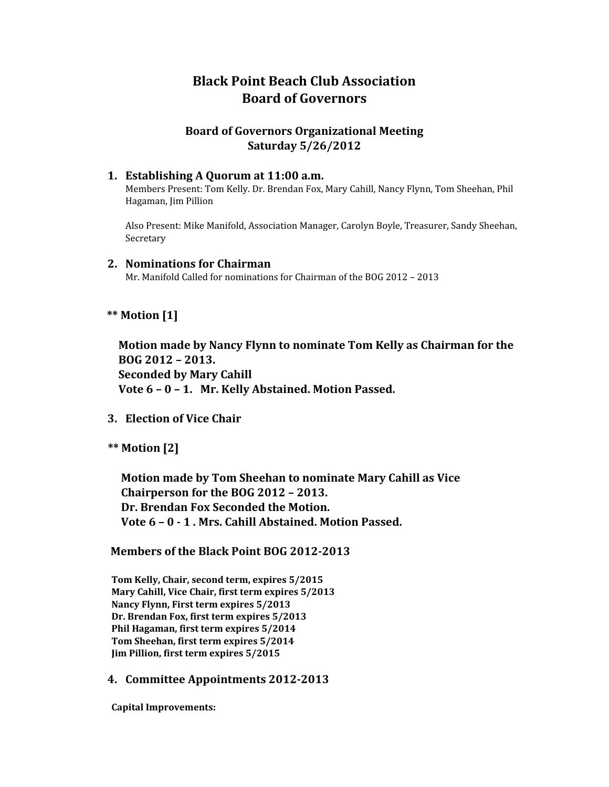# **Black Point Beach Club Association Board of Governors**

# **Board of Governors Organizational Meeting Saturday 5/26/2012**

### **1. Establishing A Quorum at 11:00 a.m.**

Members Present: Tom Kelly. Dr. Brendan Fox, Mary Cahill, Nancy Flynn, Tom Sheehan, Phil Hagaman, Jim Pillion

Also Present: Mike Manifold, Association Manager, Carolyn Boyle, Treasurer, Sandy Sheehan, Secretary

### **2. Nominations for Chairman**

Mr. Manifold Called for nominations for Chairman of the BOG 2012 – 2013

# **\*\* Motion [1]**

 **Motion made by Nancy Flynn to nominate Tom Kelly as Chairman for the BOG 2012 – 2013. Seconded by Mary Cahill Vote 6 – 0 – 1. Mr. Kelly Abstained. Motion Passed.**

- **3. Election of Vice Chair**
- **\*\* Motion [2]**

 **Motion made by Tom Sheehan to nominate Mary Cahill as Vice Chairperson for the BOG 2012 – 2013. Dr. Brendan Fox Seconded the Motion. Vote 6 – 0 - 1 . Mrs. Cahill Abstained. Motion Passed.**

#### **Members of the Black Point BOG 2012-2013**

 **Tom Kelly, Chair, second term, expires 5/2015 Mary Cahill, Vice Chair, first term expires 5/2013 Nancy Flynn, First term expires 5/2013 Dr. Brendan Fox, first term expires 5/2013 Phil Hagaman, first term expires 5/2014 Tom Sheehan, first term expires 5/2014 Jim Pillion, first term expires 5/2015**

# **4. Committee Appointments 2012-2013**

 **Capital Improvements:**